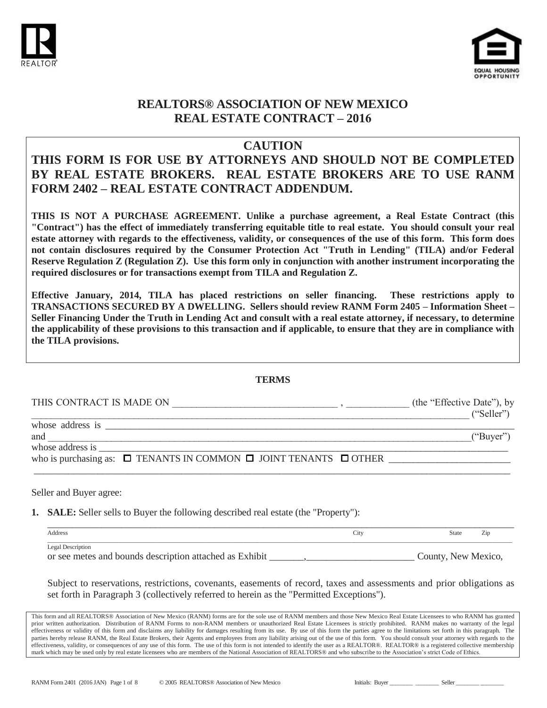



### **CAUTION**

# **THIS FORM IS FOR USE BY ATTORNEYS AND SHOULD NOT BE COMPLETED BY REAL ESTATE BROKERS. REAL ESTATE BROKERS ARE TO USE RANM FORM 2402 – REAL ESTATE CONTRACT ADDENDUM.**

**THIS IS NOT A PURCHASE AGREEMENT. Unlike a purchase agreement, a Real Estate Contract (this "Contract") has the effect of immediately transferring equitable title to real estate. You should consult your real estate attorney with regards to the effectiveness, validity, or consequences of the use of this form. This form does not contain disclosures required by the Consumer Protection Act "Truth in Lending" (TILA) and/or Federal Reserve Regulation Z (Regulation Z). Use this form only in conjunction with another instrument incorporating the required disclosures or for transactions exempt from TILA and Regulation Z.** 

**Effective January, 2014, TILA has placed restrictions on seller financing. These restrictions apply to TRANSACTIONS SECURED BY A DWELLING. Sellers should review RANM Form 2405 – Information Sheet – Seller Financing Under the Truth in Lending Act and consult with a real estate attorney, if necessary, to determine the applicability of these provisions to this transaction and if applicable, to ensure that they are in compliance with the TILA provisions.** 

#### **TERMS**

| THIS CONTRACT IS MADE ON                                                                                                                                                                                                       | (the "Effective Date"), by |
|--------------------------------------------------------------------------------------------------------------------------------------------------------------------------------------------------------------------------------|----------------------------|
| whose address is the set of the set of the set of the set of the set of the set of the set of the set of the set of the set of the set of the set of the set of the set of the set of the set of the set of the set of the set | ("Seller")                 |
| and                                                                                                                                                                                                                            | ("Buyer")                  |
|                                                                                                                                                                                                                                |                            |
| who is purchasing as: $\Box$ TENANTS IN COMMON $\Box$ JOINT TENANTS $\Box$ OTHER                                                                                                                                               |                            |

Seller and Buyer agree:

**1. SALE:** Seller sells to Buyer the following described real estate (the "Property"):

| Address                                                 | City | Zip<br>State        |
|---------------------------------------------------------|------|---------------------|
| Legal Description                                       |      |                     |
| or see metes and bounds description attached as Exhibit |      | County, New Mexico, |

Subject to reservations, restrictions, covenants, easements of record, taxes and assessments and prior obligations as set forth in Paragraph 3 (collectively referred to herein as the "Permitted Exceptions").

This form and all REALTORS® Association of New Mexico (RANM) forms are for the sole use of RANM members and those New Mexico Real Estate Licensees to who RANM has granted prior written authorization. Distribution of RANM Forms to non-RANM members or unauthorized Real Estate Licensees is strictly prohibited. RANM makes no warranty of the legal effectiveness or validity of this form and disclaims any liability for damages resulting from its use. By use of this form the parties agree to the limitations set forth in this paragraph. The parties hereby release RANM, the Real Estate Brokers, their Agents and employees from any liability arising out of the use of this form. You should consult your attorney with regards to the effectiveness, validity, or consequences of any use of this form. The use of this form is not intended to identify the user as a REALTOR®. REALTOR® is a registered collective membership mark which may be used only by real estate licensees who are members of the National Association of REALTORS® and who subscribe to the Association's strict Code of Ethics.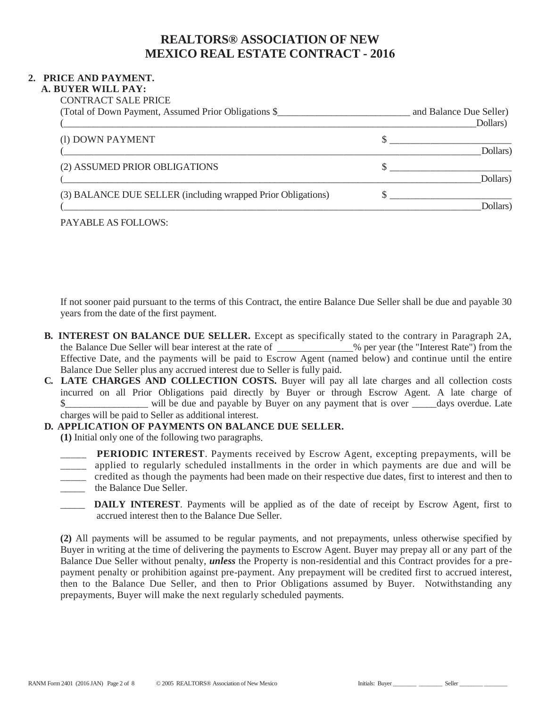### **2. PRICE AND PAYMENT.**

#### **A. BUYER WILL PAY:**

| <b>CONTRACT SALE PRICE</b>                            |                         |  |
|-------------------------------------------------------|-------------------------|--|
| (Total of Down Payment, Assumed Prior Obligations \$_ | and Balance Due Seller) |  |
|                                                       | Dollars                 |  |
| (1) DOWN PAYMENT                                      |                         |  |
|                                                       | Dollars                 |  |
|                                                       |                         |  |

|                                                              | $\sim$ $\sim$ $\sim$ $\sim$ |
|--------------------------------------------------------------|-----------------------------|
| (2) ASSUMED PRIOR OBLIGATIONS                                |                             |
|                                                              | Dollars)                    |
| (3) BALANCE DUE SELLER (including wrapped Prior Obligations) |                             |
|                                                              |                             |

#### PAYABLE AS FOLLOWS:

If not sooner paid pursuant to the terms of this Contract, the entire Balance Due Seller shall be due and payable 30 years from the date of the first payment.

- **B. INTEREST ON BALANCE DUE SELLER.** Except as specifically stated to the contrary in Paragraph 2A, the Balance Due Seller will bear interest at the rate of \_\_\_\_\_\_\_\_\_\_\_% per year (the "Interest Rate") from the Effective Date, and the payments will be paid to Escrow Agent (named below) and continue until the entire Balance Due Seller plus any accrued interest due to Seller is fully paid.
- **C. LATE CHARGES AND COLLECTION COSTS.** Buyer will pay all late charges and all collection costs incurred on all Prior Obligations paid directly by Buyer or through Escrow Agent. A late charge of  $\$\$  will be due and payable by Buyer on any payment that is over days overdue. Late charges will be paid to Seller as additional interest.

### **D. APPLICATION OF PAYMENTS ON BALANCE DUE SELLER.**

**(1)** Initial only one of the following two paragraphs.

**PERIODIC INTEREST**. Payments received by Escrow Agent, excepting prepayments, will be \_\_\_\_\_ applied to regularly scheduled installments in the order in which payments are due and will be \_\_\_\_\_ credited as though the payments had been made on their respective due dates, first to interest and then to \_\_\_\_\_ the Balance Due Seller.

**DAILY INTEREST**. Payments will be applied as of the date of receipt by Escrow Agent, first to accrued interest then to the Balance Due Seller.

**(2)** All payments will be assumed to be regular payments, and not prepayments, unless otherwise specified by Buyer in writing at the time of delivering the payments to Escrow Agent. Buyer may prepay all or any part of the Balance Due Seller without penalty, *unless* the Property is non-residential and this Contract provides for a prepayment penalty or prohibition against pre-payment. Any prepayment will be credited first to accrued interest, then to the Balance Due Seller, and then to Prior Obligations assumed by Buyer. Notwithstanding any prepayments, Buyer will make the next regularly scheduled payments.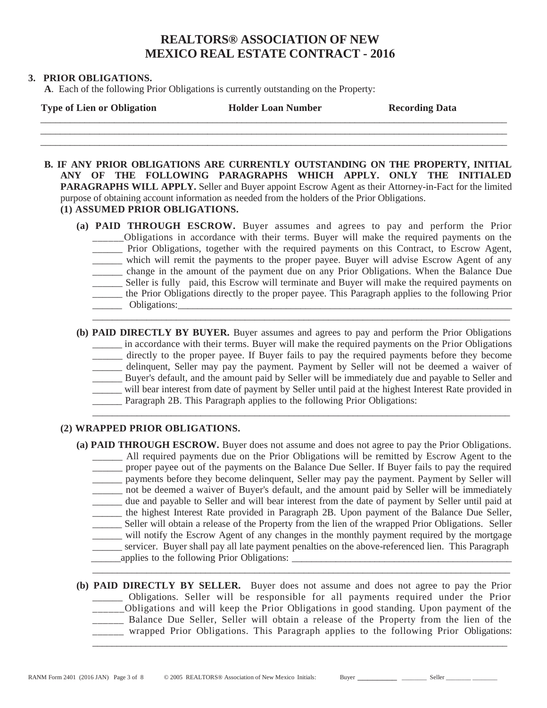#### **3. PRIOR OBLIGATIONS.**

**A**. Each of the following Prior Obligations is currently outstanding on the Property:

| <b>Type of Lien or Obligation</b> | <b>Holder Loan Number</b> | <b>Recording Data</b> |
|-----------------------------------|---------------------------|-----------------------|
|                                   |                           |                       |

 $\overline{\phantom{a}}$  , and the contribution of the contribution of the contribution of the contribution of the contribution of the contribution of the contribution of the contribution of the contribution of the contribution of the

**B. IF ANY PRIOR OBLIGATIONS ARE CURRENTLY OUTSTANDING ON THE PROPERTY, INITIAL ANY OF THE FOLLOWING PARAGRAPHS WHICH APPLY. ONLY THE INITIALED PARAGRAPHS WILL APPLY.** Seller and Buyer appoint Escrow Agent as their Attorney-in-Fact for the limited purpose of obtaining account information as needed from the holders of the Prior Obligations. **(1) ASSUMED PRIOR OBLIGATIONS.**

- **(a) PAID THROUGH ESCROW.** Buyer assumes and agrees to pay and perform the Prior \_\_\_\_\_\_Obligations in accordance with their terms. Buyer will make the required payments on the \_\_\_\_\_\_ Prior Obligations, together with the required payments on this Contract, to Escrow Agent, \_\_\_\_\_\_ which will remit the payments to the proper payee. Buyer will advise Escrow Agent of any \_\_\_\_\_\_ change in the amount of the payment due on any Prior Obligations. When the Balance Due \_\_\_\_\_\_ Seller is fully paid, this Escrow will terminate and Buyer will make the required payments on \_\_\_\_\_\_ the Prior Obligations directly to the proper payee. This Paragraph applies to the following Prior \_\_\_\_\_\_ Obligations:\_\_\_\_\_\_\_\_\_\_\_\_\_\_\_\_\_\_\_\_\_\_\_\_\_\_\_\_\_\_\_\_\_\_\_\_\_\_\_\_\_\_\_\_\_\_\_\_\_\_\_\_\_\_\_\_\_\_\_\_\_\_\_\_\_\_\_\_ \_\_\_\_\_\_\_\_\_\_\_\_\_\_\_\_\_\_\_\_\_\_\_\_\_\_\_\_\_\_\_\_\_\_\_\_\_\_\_\_\_\_\_\_\_\_\_\_\_\_\_\_\_\_\_\_\_\_\_\_\_\_\_\_\_\_\_\_\_\_\_\_\_\_\_\_\_\_\_\_\_\_\_\_\_
- **(b) PAID DIRECTLY BY BUYER.** Buyer assumes and agrees to pay and perform the Prior Obligations \_\_\_\_\_\_ in accordance with their terms. Buyer will make the required payments on the Prior Obligations directly to the proper payee. If Buyer fails to pay the required payments before they become \_\_\_\_\_\_ delinquent, Seller may pay the payment. Payment by Seller will not be deemed a waiver of \_\_\_\_\_\_ Buyer's default, and the amount paid by Seller will be immediately due and payable to Seller and \_\_\_\_\_\_ will bear interest from date of payment by Seller until paid at the highest Interest Rate provided in Paragraph 2B. This Paragraph applies to the following Prior Obligations: \_\_\_\_\_\_\_\_\_\_\_\_\_\_\_\_\_\_\_\_\_\_\_\_\_\_\_\_\_\_\_\_\_\_\_\_\_\_\_\_\_\_\_\_\_\_\_\_\_\_\_\_\_\_\_\_\_\_\_\_\_\_\_\_\_\_\_\_\_\_\_\_\_\_\_\_\_\_\_\_\_\_\_\_\_

#### **(2) WRAPPED PRIOR OBLIGATIONS.**

- **(a) PAID THROUGH ESCROW.** Buyer does not assume and does not agree to pay the Prior Obligations. \_\_\_\_\_\_ All required payments due on the Prior Obligations will be remitted by Escrow Agent to the \_\_\_\_\_\_ proper payee out of the payments on the Balance Due Seller. If Buyer fails to pay the required \_\_\_\_\_\_ payments before they become delinquent, Seller may pay the payment. Payment by Seller will \_\_\_\_\_\_ not be deemed a waiver of Buyer's default, and the amount paid by Seller will be immediately \_\_\_\_\_\_ due and payable to Seller and will bear interest from the date of payment by Seller until paid at \_\_\_\_\_\_ the highest Interest Rate provided in Paragraph 2B. Upon payment of the Balance Due Seller, \_\_\_\_\_\_ Seller will obtain a release of the Property from the lien of the wrapped Prior Obligations. Seller \_\_\_\_\_\_ will notify the Escrow Agent of any changes in the monthly payment required by the mortgage \_\_\_\_\_\_ servicer. Buyer shall pay all late payment penalties on the above-referenced lien. This Paragraph \_\_\_\_\_\_applies to the following Prior Obligations: \_\_\_\_\_\_\_\_\_\_\_\_\_\_\_\_\_\_\_\_\_\_\_\_\_\_\_\_\_\_\_\_\_\_\_\_\_\_\_\_\_\_\_\_\_
- **(b) PAID DIRECTLY BY SELLER.** Buyer does not assume and does not agree to pay the Prior \_\_\_\_\_\_ Obligations. Seller will be responsible for all payments required under the Prior \_\_\_\_\_\_Obligations and will keep the Prior Obligations in good standing. Upon payment of the \_\_\_\_\_\_ Balance Due Seller, Seller will obtain a release of the Property from the lien of the \_\_\_\_\_\_ wrapped Prior Obligations. This Paragraph applies to the following Prior Obligations: \_\_\_\_\_\_\_\_\_\_\_\_\_\_\_\_\_\_\_\_\_\_\_\_\_\_\_\_\_\_\_\_\_\_\_\_\_\_\_\_\_\_\_\_\_\_\_\_\_\_\_\_\_\_\_\_\_\_\_\_\_\_\_\_\_\_\_\_\_\_\_\_\_\_\_\_\_\_\_\_\_\_\_\_\_\_

\_\_\_\_\_\_\_\_\_\_\_\_\_\_\_\_\_\_\_\_\_\_\_\_\_\_\_\_\_\_\_\_\_\_\_\_\_\_\_\_\_\_\_\_\_\_\_\_\_\_\_\_\_\_\_\_\_\_\_\_\_\_\_\_\_\_\_\_\_\_\_\_\_\_\_\_\_\_\_\_\_\_\_\_\_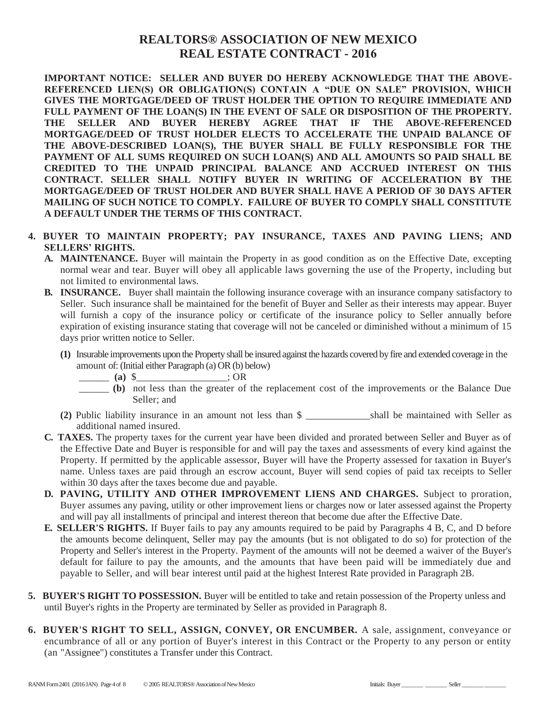**IMPORTANT NOTICE: SELLER AND BUYER DO HEREBY ACKNOWLEDGE THAT THE ABOVE-REFERENCED LIEN(S) OR OBLIGATION(S) CONTAIN A "DUE ON SALE" PROVISION, WHICH GIVES THE MORTGAGE/DEED OF TRUST HOLDER THE OPTION TO REQUIRE IMMEDIATE AND FULL PAYMENT OF THE LOAN(S) IN THE EVENT OF SALE OR DISPOSITION OF THE PROPERTY. THE SELLER AND BUYER HEREBY AGREE THAT IF THE ABOVE-REFERENCED MORTGAGE/DEED OF TRUST HOLDER ELECTS TO ACCELERATE THE UNPAID BALANCE OF THE ABOVE-DESCRIBED LOAN(S), THE BUYER SHALL BE FULLY RESPONSIBLE FOR THE PAYMENT OF ALL SUMS REQUIRED ON SUCH LOAN(S) AND ALL AMOUNTS SO PAID SHALL BE CREDITED TO THE UNPAID PRINCIPAL BALANCE AND ACCRUED INTEREST ON THIS CONTRACT. SELLER SHALL NOTIFY BUYER IN WRITING OF ACCELERATION BY THE MORTGAGE/DEED OF TRUST HOLDER AND BUYER SHALL HAVE A PERIOD OF 30 DAYS AFTER MAILING OF SUCH NOTICE TO COMPLY. FAILURE OF BUYER TO COMPLY SHALL CONSTITUTE A DEFAULT UNDER THE TERMS OF THIS CONTRACT.** 

- **4. BUYER TO MAINTAIN PROPERTY; PAY INSURANCE, TAXES AND PAVING LIENS; AND SELLERS' RIGHTS.**
	- **A. MAINTENANCE.** Buyer will maintain the Property in as good condition as on the Effective Date, excepting normal wear and tear. Buyer will obey all applicable laws governing the use of the Property, including but not limited to environmental laws.
	- **B. INSURANCE.** Buyer shall maintain the following insurance coverage with an insurance company satisfactory to Seller. Such insurance shall be maintained for the benefit of Buyer and Seller as their interests may appear. Buyer will furnish a copy of the insurance policy or certificate of the insurance policy to Seller annually before expiration of existing insurance stating that coverage will not be canceled or diminished without a minimum of 15 days prior written notice to Seller.
		- **(1)** Insurable improvements upon the Property shall be insured against the hazards covered by fire and extended coverage in the amount of: (Initial either Paragraph (a) OR (b) below)
			- \_\_\_\_\_\_ **(a)** \$\_\_\_\_\_\_\_\_\_\_\_\_\_\_\_\_\_\_; OR
			- \_\_\_\_\_\_ **(b)** not less than the greater of the replacement cost of the improvements or the Balance Due Seller; and
		- **(2)** Public liability insurance in an amount not less than \$ \_\_\_\_\_\_\_\_\_\_\_\_\_shall be maintained with Seller as additional named insured.
	- **C. TAXES.** The property taxes for the current year have been divided and prorated between Seller and Buyer as of the Effective Date and Buyer is responsible for and will pay the taxes and assessments of every kind against the Property. If permitted by the applicable assessor, Buyer will have the Property assessed for taxation in Buyer's name. Unless taxes are paid through an escrow account, Buyer will send copies of paid tax receipts to Seller within 30 days after the taxes become due and payable.
	- **D. PAVING, UTILITY AND OTHER IMPROVEMENT LIENS AND CHARGES.** Subject to proration, Buyer assumes any paving, utility or other improvement liens or charges now or later assessed against the Property and will pay all installments of principal and interest thereon that become due after the Effective Date.
	- **E. SELLER'S RIGHTS.** If Buyer fails to pay any amounts required to be paid by Paragraphs 4 B, C, and D before the amounts become delinquent, Seller may pay the amounts (but is not obligated to do so) for protection of the Property and Seller's interest in the Property. Payment of the amounts will not be deemed a waiver of the Buyer's default for failure to pay the amounts, and the amounts that have been paid will be immediately due and payable to Seller, and will bear interest until paid at the highest Interest Rate provided in Paragraph 2B.
- **5. BUYER'S RIGHT TO POSSESSION.** Buyer will be entitled to take and retain possession of the Property unless and until Buyer's rights in the Property are terminated by Seller as provided in Paragraph 8.
- **6. BUYER'S RIGHT TO SELL, ASSIGN, CONVEY, OR ENCUMBER.** A sale, assignment, conveyance or encumbrance of all or any portion of Buyer's interest in this Contract or the Property to any person or entity (an "Assignee") constitutes a Transfer under this Contract.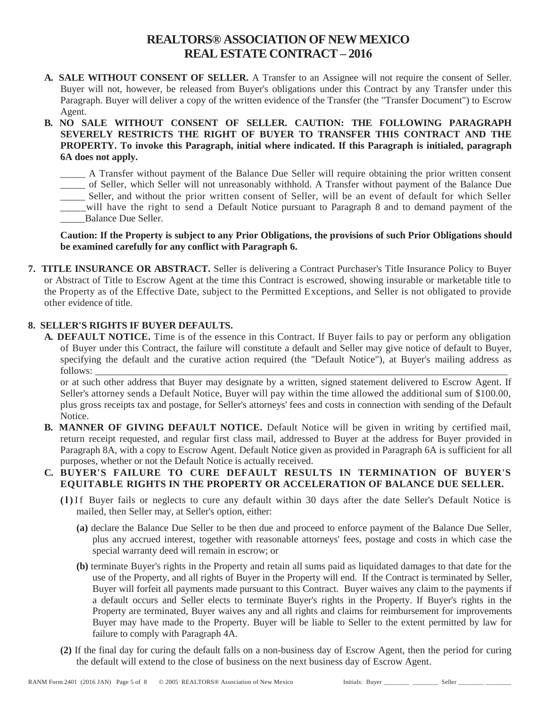- **A. SALE WITHOUT CONSENT OF SELLER.** A Transfer to an Assignee will not require the consent of Seller. Buyer will not, however, be released from Buyer's obligations under this Contract by any Transfer under this Paragraph. Buyer will deliver a copy of the written evidence of the Transfer (the "Transfer Document") to Escrow Agent.
- **B. NO SALE WITHOUT CONSENT OF SELLER. CAUTION: THE FOLLOWING PARAGRAPH SEVERELY RESTRICTS THE RIGHT OF BUYER TO TRANSFER THIS CONTRACT AND THE PROPERTY. To invoke this Paragraph, initial where indicated. If this Paragraph is initialed, paragraph 6A does not apply.**

\_\_\_\_\_ A Transfer without payment of the Balance Due Seller will require obtaining the prior written consent \_\_\_\_\_ of Seller, which Seller will not unreasonably withhold. A Transfer without payment of the Balance Due \_\_\_\_\_ Seller, and without the prior written consent of Seller, will be an event of default for which Seller \_\_\_\_\_will have the right to send a Default Notice pursuant to Paragraph 8 and to demand payment of the Balance Due Seller.

**Caution: If the Property is subject to any Prior Obligations, the provisions of such Prior Obligations should be examined carefully for any conflict with Paragraph 6.**

**7. TITLE INSURANCE OR ABSTRACT.** Seller is delivering a Contract Purchaser's Title Insurance Policy to Buyer or Abstract of Title to Escrow Agent at the time this Contract is escrowed, showing insurable or marketable title to the Property as of the Effective Date, subject to the Permitted Exceptions, and Seller is not obligated to provide other evidence of title.

#### **8. SELLER'S RIGHTS IF BUYER DEFAULTS.**

**A. DEFAULT NOTICE.** Time is of the essence in this Contract. If Buyer fails to pay or perform any obligation of Buyer under this Contract, the failure will constitute a default and Seller may give notice of default to Buyer, specifying the default and the curative action required (the "Default Notice"), at Buyer's mailing address as follows: \_\_\_\_\_\_\_\_\_\_\_\_\_\_\_\_\_\_\_\_\_\_\_\_\_\_\_\_\_\_\_\_\_\_\_\_\_\_\_\_\_\_\_\_\_\_\_\_\_\_\_\_\_\_\_\_\_\_\_\_\_\_\_\_\_\_\_\_\_\_\_\_\_\_\_\_\_\_\_\_\_\_\_\_

or at such other address that Buyer may designate by a written, signed statement delivered to Escrow Agent. If Seller's attorney sends a Default Notice, Buyer will pay within the time allowed the additional sum of \$100.00, plus gross receipts tax and postage, for Seller's attorneys' fees and costs in connection with sending of the Default Notice.

**B. MANNER OF GIVING DEFAULT NOTICE.** Default Notice will be given in writing by certified mail, return receipt requested, and regular first class mail, addressed to Buyer at the address for Buyer provided in Paragraph 8A, with a copy to Escrow Agent. Default Notice given as provided in Paragraph 6A is sufficient for all purposes, whether or not the Default Notice is actually received.

### **C. BUYER'S FAILURE TO CURE DEFAULT RESULTS IN TERMINATION OF BUYER'S EQUITABLE RIGHTS IN THE PROPERTY OR ACCELERATION OF BALANCE DUE SELLER.**

- **(l)** If Buyer fails or neglects to cure any default within 30 days after the date Seller's Default Notice is mailed, then Seller may, at Seller's option, either:
	- **(a)** declare the Balance Due Seller to be then due and proceed to enforce payment of the Balance Due Seller, plus any accrued interest, together with reasonable attorneys' fees, postage and costs in which case the special warranty deed will remain in escrow; or
	- **(b)** terminate Buyer's rights in the Property and retain all sums paid as liquidated damages to that date for the use of the Property, and all rights of Buyer in the Property will end. If the Contract is terminated by Seller, Buyer will forfeit all payments made pursuant to this Contract. Buyer waives any claim to the payments if a default occurs and Seller elects to terminate Buyer's rights in the Property. If Buyer's rights in the Property are terminated, Buyer waives any and all rights and claims for reimbursement for improvements Buyer may have made to the Property. Buyer will be liable to Seller to the extent permitted by law for failure to comply with Paragraph 4A.
- **(2)** If the final day for curing the default falls on a non-business day of Escrow Agent, then the period for curing the default will extend to the close of business on the next business day of Escrow Agent.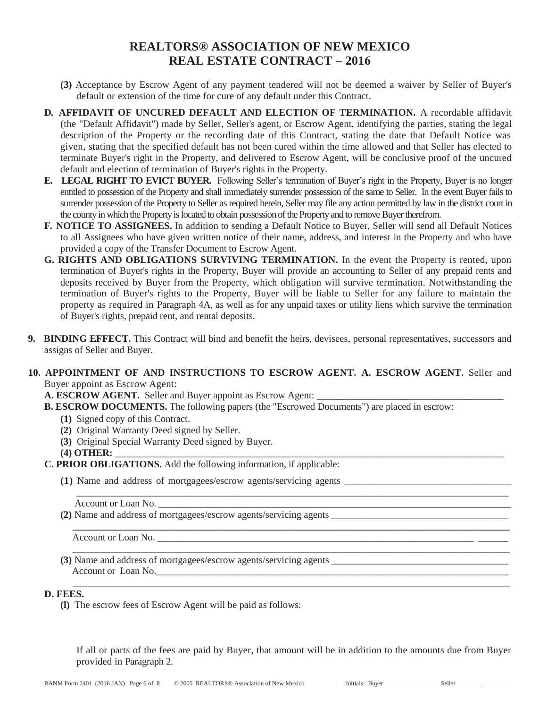- **(3)** Acceptance by Escrow Agent of any payment tendered will not be deemed a waiver by Seller of Buyer's default or extension of the time for cure of any default under this Contract.
- **D. AFFIDAVIT OF UNCURED DEFAULT AND ELECTION OF TERMINATION.** A recordable affidavit (the "Default Affidavit") made by Seller, Seller's agent, or Escrow Agent, identifying the parties, stating the legal description of the Property or the recording date of this Contract, stating the date that Default Notice was given, stating that the specified default has not been cured within the time allowed and that Seller has elected to terminate Buyer's right in the Property, and delivered to Escrow Agent, will be conclusive proof of the uncured default and election of termination of Buyer's rights in the Property.
- **E. LEGAL RIGHT TO EVICT BUYER.** Following Seller's termination of Buyer's right in the Property, Buyer is no longer entitled to possession of the Property and shall immediately surrender possession of the same to Seller. In the event Buyer fails to surrender possession of the Property to Seller as required herein, Seller may file any action permitted by law in the district court in the county in which the Property is located to obtain possession of the Property and to remove Buyer therefrom.
- **F. NOTICE TO ASSIGNEES.** In addition to sending a Default Notice to Buyer, Seller will send all Default Notices to all Assignees who have given written notice of their name, address, and interest in the Property and who have provided a copy of the Transfer Document to Escrow Agent.
- **G. RIGHTS AND OBLIGATIONS SURVIVING TERMINATION.** In the event the Property is rented, upon termination of Buyer's rights in the Property, Buyer will provide an accounting to Seller of any prepaid rents and deposits received by Buyer from the Property, which obligation will survive termination. Notwithstanding the termination of Buyer's rights to the Property, Buyer will be liable to Seller for any failure to maintain the property as required in Paragraph 4A, as well as for any unpaid taxes or utility liens which survive the termination of Buyer's rights, prepaid rent, and rental deposits.
- **9. BINDING EFFECT.** This Contract will bind and benefit the heirs, devisees, personal representatives, successors and assigns of Seller and Buyer.
- **10. APPOINTMENT OF AND INSTRUCTIONS TO ESCROW AGENT. A. ESCROW AGENT.** Seller and Buyer appoint as Escrow Agent:
	- **A. ESCROW AGENT.** Seller and Buyer appoint as Escrow Agent:
	- **B. ESCROW DOCUMENTS.** The following papers (the "Escrowed Documents") are placed in escrow:

**\_\_\_\_\_\_\_\_\_\_\_\_\_\_\_\_\_\_\_\_\_\_\_\_\_\_\_\_\_\_\_\_\_\_\_\_\_\_\_\_\_\_\_\_\_\_\_\_\_\_\_\_\_\_\_\_\_\_\_\_\_\_\_\_\_\_\_\_\_\_\_\_\_\_\_\_\_\_\_\_\_\_\_\_\_\_\_\_\_**

- **(1)** Signed copy of this Contract.
- **(2)** Original Warranty Deed signed by Seller.
- **(3)** Original Special Warranty Deed signed by Buyer.

**(4) OTHER:** \_\_\_\_\_\_\_\_\_\_\_\_\_\_\_\_\_\_\_\_\_\_\_\_\_\_\_\_\_\_\_\_\_\_\_\_\_\_\_\_\_\_\_\_\_\_\_\_\_\_\_\_\_\_\_\_\_\_\_\_\_\_\_\_\_\_\_\_\_\_\_\_\_\_\_\_\_\_\_\_

- **C. PRIOR OBLIGATIONS.** Add the following information, if applicable:
	- **(1)** Name and address of mortgagees/escrow agents/servicing agents \_\_\_\_\_\_\_\_\_\_\_\_\_\_\_\_\_\_\_\_\_\_\_\_\_\_\_\_\_\_\_\_\_\_

**(2)** Name and address of mortgagees/escrow agents/servicing agents

Account or Loan No.

**(3)** Name and address of mortgagees/escrow agents/servicing agents \_\_\_\_\_\_\_\_\_\_\_\_\_\_\_\_\_\_\_\_\_\_\_\_\_\_\_\_\_\_\_\_\_\_\_\_ Account or Loan No.

### **D. FEES.**

**(l)** The escrow fees of Escrow Agent will be paid as follows:

If all or parts of the fees are paid by Buyer, that amount will be in addition to the amounts due from Buyer provided in Paragraph 2.

\_\_\_\_\_\_\_\_\_\_\_\_\_\_\_\_\_\_\_\_\_\_\_\_\_\_\_\_\_\_\_\_\_\_\_\_\_\_\_\_\_\_\_\_\_\_\_\_\_\_\_\_\_\_\_\_\_\_\_\_\_\_\_\_\_\_\_\_\_\_\_\_\_\_\_\_\_\_\_\_\_\_\_\_\_\_\_\_\_

\_\_\_\_\_\_\_\_\_\_\_\_\_\_\_\_\_\_\_\_\_\_\_\_\_\_\_\_\_\_\_\_\_\_\_\_\_\_\_\_\_\_\_\_\_\_\_\_\_\_\_\_\_\_\_\_\_\_\_\_\_\_\_\_\_\_\_\_\_\_\_\_\_\_\_\_\_\_\_\_\_\_\_\_\_\_\_\_

Account or Loan No.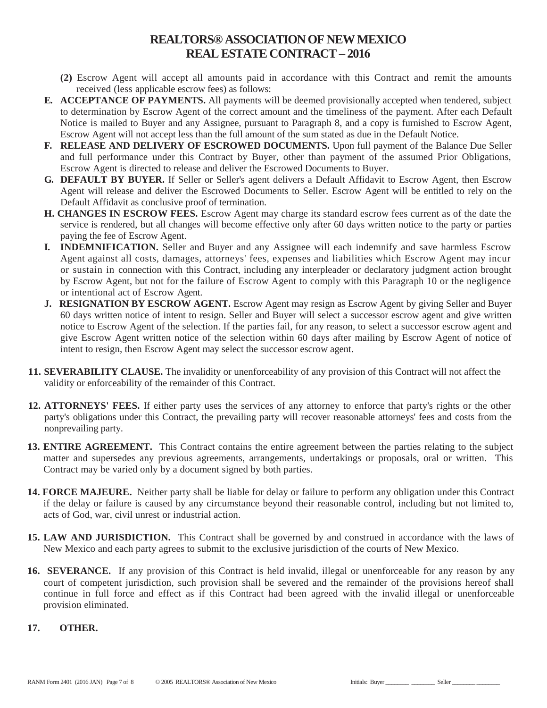- **(2)** Escrow Agent will accept all amounts paid in accordance with this Contract and remit the amounts received (less applicable escrow fees) as follows:
- **E. ACCEPTANCE OF PAYMENTS.** All payments will be deemed provisionally accepted when tendered, subject to determination by Escrow Agent of the correct amount and the timeliness of the payment. After each Default Notice is mailed to Buyer and any Assignee, pursuant to Paragraph 8, and a copy is furnished to Escrow Agent, Escrow Agent will not accept less than the full amount of the sum stated as due in the Default Notice.
- **F. RELEASE AND DELIVERY OF ESCROWED DOCUMENTS.** Upon full payment of the Balance Due Seller and full performance under this Contract by Buyer, other than payment of the assumed Prior Obligations, Escrow Agent is directed to release and deliver the Escrowed Documents to Buyer.
- **G. DEFAULT BY BUYER.** If Seller or Seller's agent delivers a Default Affidavit to Escrow Agent, then Escrow Agent will release and deliver the Escrowed Documents to Seller. Escrow Agent will be entitled to rely on the Default Affidavit as conclusive proof of termination.
- **H. CHANGES IN ESCROW FEES.** Escrow Agent may charge its standard escrow fees current as of the date the service is rendered, but all changes will become effective only after 60 days written notice to the party or parties paying the fee of Escrow Agent.
- **I. INDEMNIFICATION.** Seller and Buyer and any Assignee will each indemnify and save harmless Escrow Agent against all costs, damages, attorneys' fees, expenses and liabilities which Escrow Agent may incur or sustain in connection with this Contract, including any interpleader or declaratory judgment action brought by Escrow Agent, but not for the failure of Escrow Agent to comply with this Paragraph 10 or the negligence or intentional act of Escrow Agent.
- **J. RESIGNATION BY ESCROW AGENT.** Escrow Agent may resign as Escrow Agent by giving Seller and Buyer 60 days written notice of intent to resign. Seller and Buyer will select a successor escrow agent and give written notice to Escrow Agent of the selection. If the parties fail, for any reason, to select a successor escrow agent and give Escrow Agent written notice of the selection within 60 days after mailing by Escrow Agent of notice of intent to resign, then Escrow Agent may select the successor escrow agent.
- **11. SEVERABILITY CLAUSE.** The invalidity or unenforceability of any provision of this Contract will not affect the validity or enforceability of the remainder of this Contract.
- **12. ATTORNEYS' FEES.** If either party uses the services of any attorney to enforce that party's rights or the other party's obligations under this Contract, the prevailing party will recover reasonable attorneys' fees and costs from the nonprevailing party.
- **13. ENTIRE AGREEMENT.** This Contract contains the entire agreement between the parties relating to the subject matter and supersedes any previous agreements, arrangements, undertakings or proposals, oral or written. This Contract may be varied only by a document signed by both parties.
- **14. FORCE MAJEURE.** Neither party shall be liable for delay or failure to perform any obligation under this Contract if the delay or failure is caused by any circumstance beyond their reasonable control, including but not limited to, acts of God, war, civil unrest or industrial action.
- **15. LAW AND JURISDICTION.** This Contract shall be governed by and construed in accordance with the laws of New Mexico and each party agrees to submit to the exclusive jurisdiction of the courts of New Mexico.
- **16. SEVERANCE.** If any provision of this Contract is held invalid, illegal or unenforceable for any reason by any court of competent jurisdiction, such provision shall be severed and the remainder of the provisions hereof shall continue in full force and effect as if this Contract had been agreed with the invalid illegal or unenforceable provision eliminated.
- **17. OTHER.**